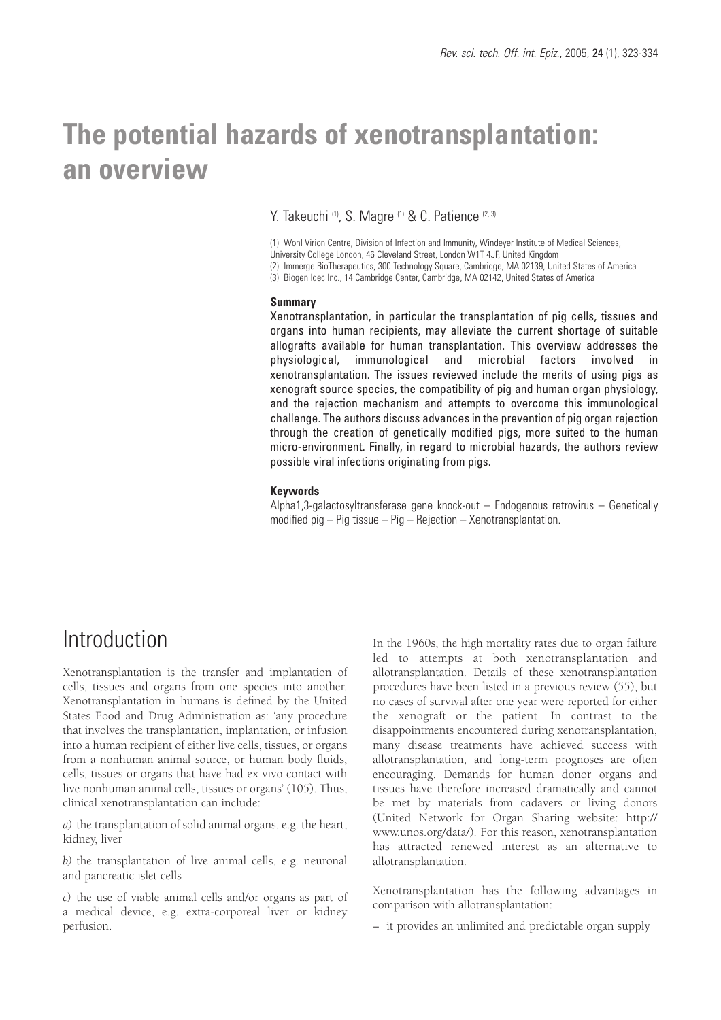# **The potential hazards of xenotransplantation: an overview**

Y. Takeuchi <sup>(1)</sup>, S. Magre <sup>(1)</sup> & C. Patience <sup>(2, 3)</sup>

(1) Wohl Virion Centre, Division of Infection and Immunity, Windeyer Institute of Medical Sciences, University College London, 46 Cleveland Street, London W1T 4JF, United Kingdom (2) Immerge BioTherapeutics, 300 Technology Square, Cambridge, MA 02139, United States of America (3) Biogen Idec Inc., 14 Cambridge Center, Cambridge, MA 02142, United States of America

#### **Summary**

Xenotransplantation, in particular the transplantation of pig cells, tissues and organs into human recipients, may alleviate the current shortage of suitable allografts available for human transplantation. This overview addresses the physiological, immunological and microbial factors involved in xenotransplantation. The issues reviewed include the merits of using pigs as xenograft source species, the compatibility of pig and human organ physiology, and the rejection mechanism and attempts to overcome this immunological challenge. The authors discuss advances in the prevention of pig organ rejection through the creation of genetically modified pigs, more suited to the human micro-environment. Finally, in regard to microbial hazards, the authors review possible viral infections originating from pigs.

#### **Keywords**

Alpha1,3-galactosyltransferase gene knock-out – Endogenous retrovirus – Genetically modified pig – Pig tissue – Pig – Rejection – Xenotransplantation.

# Introduction

Xenotransplantation is the transfer and implantation of cells, tissues and organs from one species into another. Xenotransplantation in humans is defined by the United States Food and Drug Administration as: 'any procedure that involves the transplantation, implantation, or infusion into a human recipient of either live cells, tissues, or organs from a nonhuman animal source, or human body fluids, cells, tissues or organs that have had ex vivo contact with live nonhuman animal cells, tissues or organs' (105). Thus, clinical xenotransplantation can include:

*a)* the transplantation of solid animal organs, e.g. the heart, kidney, liver

*b)* the transplantation of live animal cells, e.g. neuronal and pancreatic islet cells

*c)* the use of viable animal cells and/or organs as part of a medical device, e.g. extra-corporeal liver or kidney perfusion.

In the 1960s, the high mortality rates due to organ failure led to attempts at both xenotransplantation and allotransplantation. Details of these xenotransplantation procedures have been listed in a previous review (55), but no cases of survival after one year were reported for either the xenograft or the patient. In contrast to the disappointments encountered during xenotransplantation, many disease treatments have achieved success with allotransplantation, and long-term prognoses are often encouraging. Demands for human donor organs and tissues have therefore increased dramatically and cannot be met by materials from cadavers or living donors (United Network for Organ Sharing website: http:// www.unos.org/data/). For this reason, xenotransplantation has attracted renewed interest as an alternative to allotransplantation.

Xenotransplantation has the following advantages in comparison with allotransplantation:

– it provides an unlimited and predictable organ supply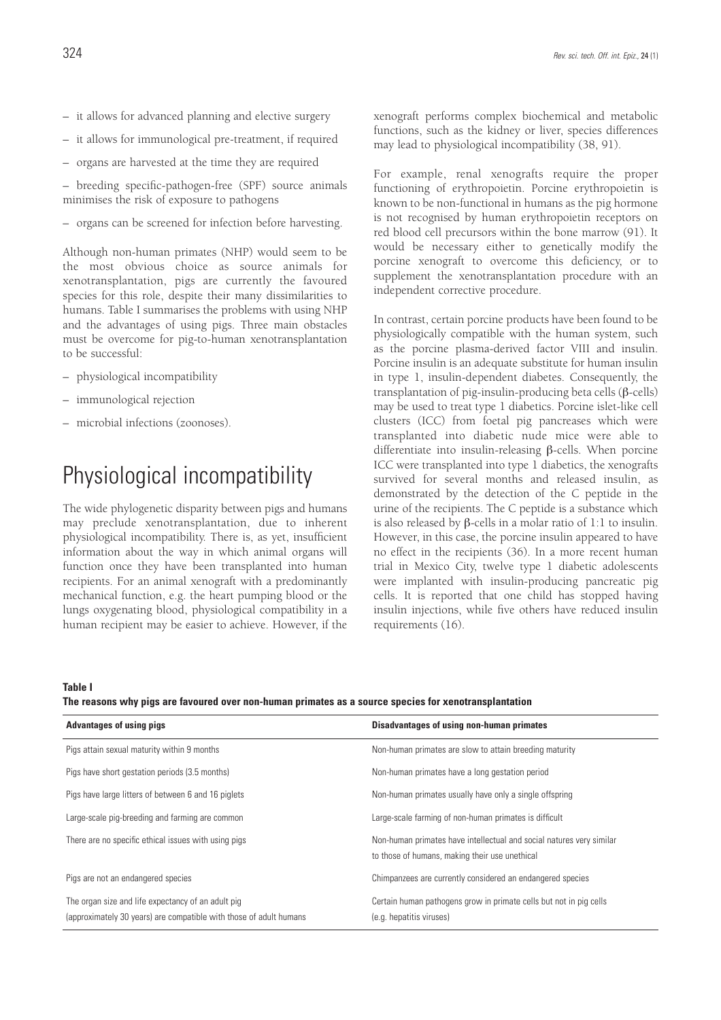- it allows for advanced planning and elective surgery
- it allows for immunological pre-treatment, if required
- organs are harvested at the time they are required

– breeding specific-pathogen-free (SPF) source animals minimises the risk of exposure to pathogens

– organs can be screened for infection before harvesting.

Although non-human primates (NHP) would seem to be the most obvious choice as source animals for xenotransplantation, pigs are currently the favoured species for this role, despite their many dissimilarities to humans. Table I summarises the problems with using NHP and the advantages of using pigs. Three main obstacles must be overcome for pig-to-human xenotransplantation to be successful:

- physiological incompatibility
- immunological rejection
- microbial infections (zoonoses).

# Physiological incompatibility

The wide phylogenetic disparity between pigs and humans may preclude xenotransplantation, due to inherent physiological incompatibility. There is, as yet, insufficient information about the way in which animal organs will function once they have been transplanted into human recipients. For an animal xenograft with a predominantly mechanical function, e.g. the heart pumping blood or the lungs oxygenating blood, physiological compatibility in a human recipient may be easier to achieve. However, if the xenograft performs complex biochemical and metabolic functions, such as the kidney or liver, species differences may lead to physiological incompatibility (38, 91).

For example, renal xenografts require the proper functioning of erythropoietin. Porcine erythropoietin is known to be non-functional in humans as the pig hormone is not recognised by human erythropoietin receptors on red blood cell precursors within the bone marrow (91). It would be necessary either to genetically modify the porcine xenograft to overcome this deficiency, or to supplement the xenotransplantation procedure with an independent corrective procedure.

In contrast, certain porcine products have been found to be physiologically compatible with the human system, such as the porcine plasma-derived factor VIII and insulin. Porcine insulin is an adequate substitute for human insulin in type 1, insulin-dependent diabetes. Consequently, the transplantation of pig-insulin-producing beta cells (β-cells) may be used to treat type 1 diabetics. Porcine islet-like cell clusters (ICC) from foetal pig pancreases which were transplanted into diabetic nude mice were able to differentiate into insulin-releasing β-cells. When porcine ICC were transplanted into type 1 diabetics, the xenografts survived for several months and released insulin, as demonstrated by the detection of the C peptide in the urine of the recipients. The C peptide is a substance which is also released by β-cells in a molar ratio of 1:1 to insulin. However, in this case, the porcine insulin appeared to have no effect in the recipients (36). In a more recent human trial in Mexico City, twelve type 1 diabetic adolescents were implanted with insulin-producing pancreatic pig cells. It is reported that one child has stopped having insulin injections, while five others have reduced insulin requirements (16).

#### **Table I**

**The reasons why pigs are favoured over non-human primates as a source species for xenotransplantation**

| <b>Advantages of using pigs</b>                                                                                          | Disadvantages of using non-human primates                                                                              |
|--------------------------------------------------------------------------------------------------------------------------|------------------------------------------------------------------------------------------------------------------------|
| Pigs attain sexual maturity within 9 months                                                                              | Non-human primates are slow to attain breeding maturity                                                                |
| Pigs have short gestation periods (3.5 months)                                                                           | Non-human primates have a long gestation period                                                                        |
| Pigs have large litters of between 6 and 16 piglets                                                                      | Non-human primates usually have only a single offspring<br>Large-scale farming of non-human primates is difficult      |
| Large-scale pig-breeding and farming are common                                                                          |                                                                                                                        |
| There are no specific ethical issues with using pigs                                                                     | Non-human primates have intellectual and social natures very similar<br>to those of humans, making their use unethical |
| Pigs are not an endangered species                                                                                       | Chimpanzees are currently considered an endangered species                                                             |
| The organ size and life expectancy of an adult pig<br>(approximately 30 years) are compatible with those of adult humans | Certain human pathogens grow in primate cells but not in pig cells<br>(e.g. hepatitis viruses)                         |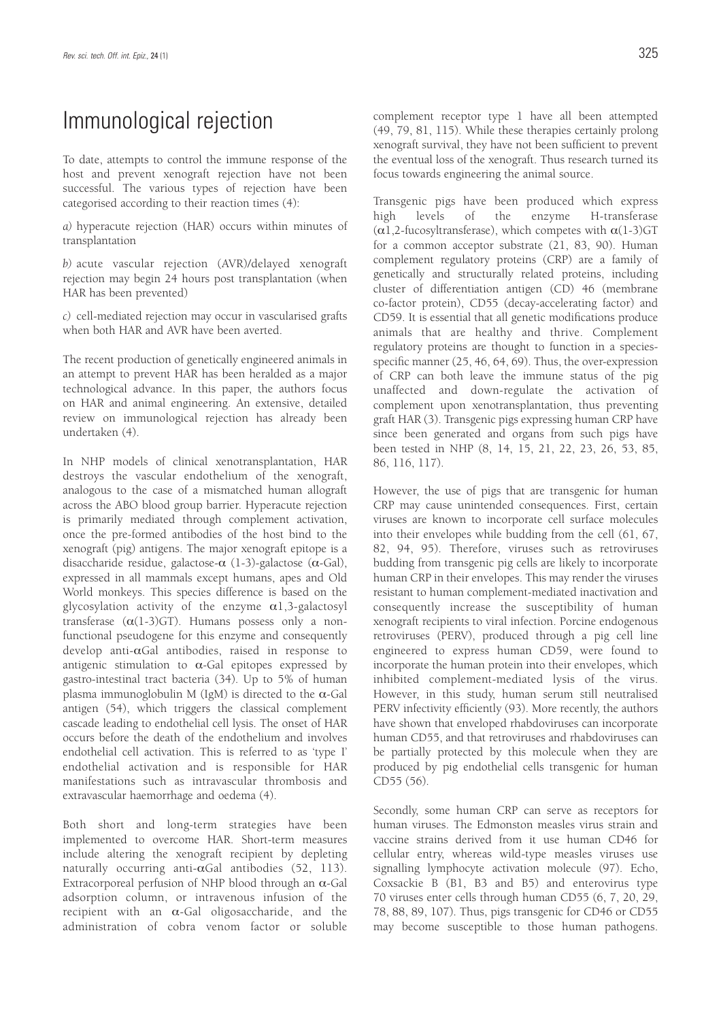# Immunological rejection

To date, attempts to control the immune response of the host and prevent xenograft rejection have not been successful. The various types of rejection have been categorised according to their reaction times (4):

*a)* hyperacute rejection (HAR) occurs within minutes of transplantation

*b)* acute vascular rejection (AVR)/delayed xenograft rejection may begin 24 hours post transplantation (when HAR has been prevented)

*c)* cell-mediated rejection may occur in vascularised grafts when both HAR and AVR have been averted.

The recent production of genetically engineered animals in an attempt to prevent HAR has been heralded as a major technological advance. In this paper, the authors focus on HAR and animal engineering. An extensive, detailed review on immunological rejection has already been undertaken (4).

In NHP models of clinical xenotransplantation, HAR destroys the vascular endothelium of the xenograft, analogous to the case of a mismatched human allograft across the ABO blood group barrier. Hyperacute rejection is primarily mediated through complement activation, once the pre-formed antibodies of the host bind to the xenograft (pig) antigens. The major xenograft epitope is a disaccharide residue, galactose- $\alpha$  (1-3)-galactose ( $\alpha$ -Gal), expressed in all mammals except humans, apes and Old World monkeys. This species difference is based on the glycosylation activity of the enzyme  $\alpha$ 1,3-galactosyl transferase  $(\alpha(1-3)GT)$ . Humans possess only a nonfunctional pseudogene for this enzyme and consequently develop anti-αGal antibodies, raised in response to antigenic stimulation to  $\alpha$ -Gal epitopes expressed by gastro-intestinal tract bacteria (34). Up to 5% of human plasma immunoglobulin M (IgM) is directed to the α-Gal antigen (54), which triggers the classical complement cascade leading to endothelial cell lysis. The onset of HAR occurs before the death of the endothelium and involves endothelial cell activation. This is referred to as 'type I' endothelial activation and is responsible for HAR manifestations such as intravascular thrombosis and extravascular haemorrhage and oedema (4).

Both short and long-term strategies have been implemented to overcome HAR. Short-term measures include altering the xenograft recipient by depleting naturally occurring anti-αGal antibodies (52, 113). Extracorporeal perfusion of NHP blood through an  $\alpha$ -Gal adsorption column, or intravenous infusion of the recipient with an  $\alpha$ -Gal oligosaccharide, and the administration of cobra venom factor or soluble complement receptor type 1 have all been attempted (49, 79, 81, 115). While these therapies certainly prolong xenograft survival, they have not been sufficient to prevent the eventual loss of the xenograft. Thus research turned its focus towards engineering the animal source.

Transgenic pigs have been produced which express high levels of the enzyme H-transferase ( $\alpha$ 1,2-fucosyltransferase), which competes with  $\alpha$ (1-3)GT for a common acceptor substrate (21, 83, 90). Human complement regulatory proteins (CRP) are a family of genetically and structurally related proteins, including cluster of differentiation antigen (CD) 46 (membrane co-factor protein), CD55 (decay-accelerating factor) and CD59. It is essential that all genetic modifications produce animals that are healthy and thrive. Complement regulatory proteins are thought to function in a speciesspecific manner (25, 46, 64, 69). Thus, the over-expression of CRP can both leave the immune status of the pig unaffected and down-regulate the activation of complement upon xenotransplantation, thus preventing graft HAR (3). Transgenic pigs expressing human CRP have since been generated and organs from such pigs have been tested in NHP (8, 14, 15, 21, 22, 23, 26, 53, 85, 86, 116, 117).

However, the use of pigs that are transgenic for human CRP may cause unintended consequences. First, certain viruses are known to incorporate cell surface molecules into their envelopes while budding from the cell (61, 67, 82, 94, 95). Therefore, viruses such as retroviruses budding from transgenic pig cells are likely to incorporate human CRP in their envelopes. This may render the viruses resistant to human complement-mediated inactivation and consequently increase the susceptibility of human xenograft recipients to viral infection. Porcine endogenous retroviruses (PERV), produced through a pig cell line engineered to express human CD59, were found to incorporate the human protein into their envelopes, which inhibited complement-mediated lysis of the virus. However, in this study, human serum still neutralised PERV infectivity efficiently (93). More recently, the authors have shown that enveloped rhabdoviruses can incorporate human CD55, and that retroviruses and rhabdoviruses can be partially protected by this molecule when they are produced by pig endothelial cells transgenic for human CD55 (56).

Secondly, some human CRP can serve as receptors for human viruses. The Edmonston measles virus strain and vaccine strains derived from it use human CD46 for cellular entry, whereas wild-type measles viruses use signalling lymphocyte activation molecule (97). Echo, Coxsackie B (B1, B3 and B5) and enterovirus type 70 viruses enter cells through human CD55 (6, 7, 20, 29, 78, 88, 89, 107). Thus, pigs transgenic for CD46 or CD55 may become susceptible to those human pathogens.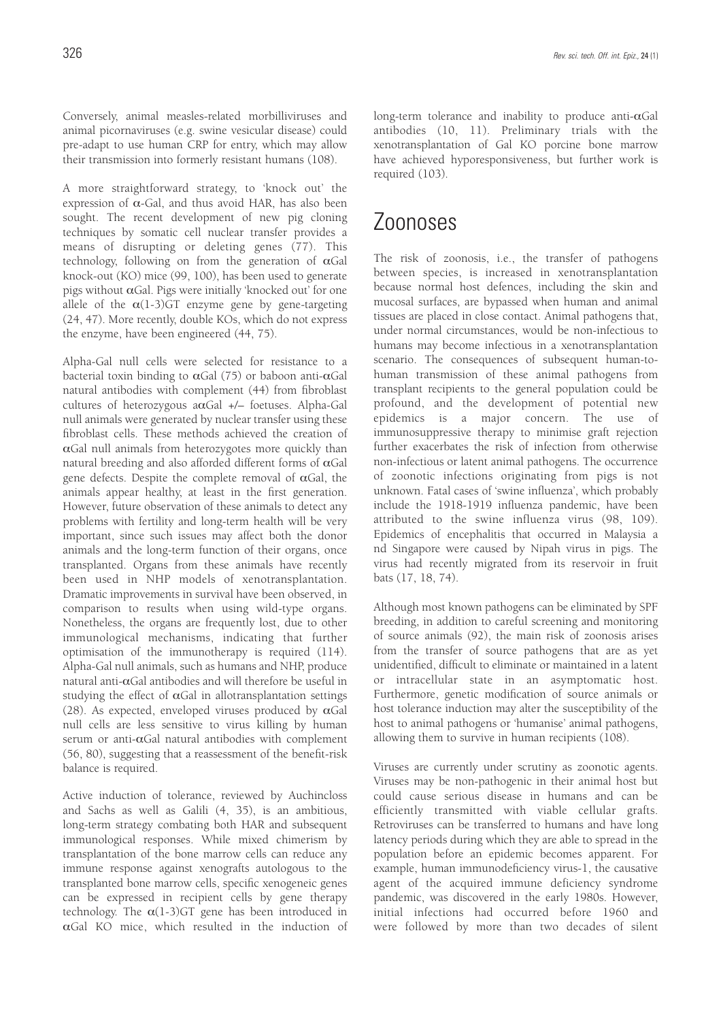Conversely, animal measles-related morbilliviruses and animal picornaviruses (e.g. swine vesicular disease) could pre-adapt to use human CRP for entry, which may allow their transmission into formerly resistant humans (108).

A more straightforward strategy, to 'knock out' the expression of  $\alpha$ -Gal, and thus avoid HAR, has also been sought. The recent development of new pig cloning techniques by somatic cell nuclear transfer provides a means of disrupting or deleting genes (77). This technology, following on from the generation of  $\alpha$ Gal knock-out (KO) mice (99, 100), has been used to generate pigs without αGal. Pigs were initially 'knocked out' for one allele of the  $\alpha(1-3)$ GT enzyme gene by gene-targeting (24, 47). More recently, double KOs, which do not express the enzyme, have been engineered (44, 75).

Alpha-Gal null cells were selected for resistance to a bacterial toxin binding to  $\alpha$ Gal (75) or baboon anti- $\alpha$ Gal natural antibodies with complement (44) from fibroblast cultures of heterozygous  $a\alpha$ Gal +/- foetuses. Alpha-Gal null animals were generated by nuclear transfer using these fibroblast cells. These methods achieved the creation of  $\alpha$ Gal null animals from heterozygotes more quickly than natural breeding and also afforded different forms of  $\alpha$ Gal gene defects. Despite the complete removal of  $\alpha$ Gal, the animals appear healthy, at least in the first generation. However, future observation of these animals to detect any problems with fertility and long-term health will be very important, since such issues may affect both the donor animals and the long-term function of their organs, once transplanted. Organs from these animals have recently been used in NHP models of xenotransplantation. Dramatic improvements in survival have been observed, in comparison to results when using wild-type organs. Nonetheless, the organs are frequently lost, due to other immunological mechanisms, indicating that further optimisation of the immunotherapy is required (114). Alpha-Gal null animals, such as humans and NHP, produce natural anti-αGal antibodies and will therefore be useful in studying the effect of  $\alpha$ Gal in allotransplantation settings (28). As expected, enveloped viruses produced by  $\alpha$ Gal null cells are less sensitive to virus killing by human serum or anti-αGal natural antibodies with complement (56, 80), suggesting that a reassessment of the benefit-risk balance is required.

Active induction of tolerance, reviewed by Auchincloss and Sachs as well as Galili (4, 35), is an ambitious, long-term strategy combating both HAR and subsequent immunological responses. While mixed chimerism by transplantation of the bone marrow cells can reduce any immune response against xenografts autologous to the transplanted bone marrow cells, specific xenogeneic genes can be expressed in recipient cells by gene therapy technology. The  $\alpha(1-3)$ GT gene has been introduced in  $\alpha$ Gal KO mice, which resulted in the induction of

long-term tolerance and inability to produce anti-αGal antibodies (10, 11). Preliminary trials with the xenotransplantation of Gal KO porcine bone marrow have achieved hyporesponsiveness, but further work is required (103).

# Zoonoses

The risk of zoonosis, i.e., the transfer of pathogens between species, is increased in xenotransplantation because normal host defences, including the skin and mucosal surfaces, are bypassed when human and animal tissues are placed in close contact. Animal pathogens that, under normal circumstances, would be non-infectious to humans may become infectious in a xenotransplantation scenario. The consequences of subsequent human-tohuman transmission of these animal pathogens from transplant recipients to the general population could be profound, and the development of potential new epidemics is a major concern. The use of immunosuppressive therapy to minimise graft rejection further exacerbates the risk of infection from otherwise non-infectious or latent animal pathogens. The occurrence of zoonotic infections originating from pigs is not unknown. Fatal cases of 'swine influenza', which probably include the 1918-1919 influenza pandemic, have been attributed to the swine influenza virus (98, 109). Epidemics of encephalitis that occurred in Malaysia a nd Singapore were caused by Nipah virus in pigs. The virus had recently migrated from its reservoir in fruit bats (17, 18, 74).

Although most known pathogens can be eliminated by SPF breeding, in addition to careful screening and monitoring of source animals (92), the main risk of zoonosis arises from the transfer of source pathogens that are as yet unidentified, difficult to eliminate or maintained in a latent or intracellular state in an asymptomatic host. Furthermore, genetic modification of source animals or host tolerance induction may alter the susceptibility of the host to animal pathogens or 'humanise' animal pathogens, allowing them to survive in human recipients (108).

Viruses are currently under scrutiny as zoonotic agents. Viruses may be non-pathogenic in their animal host but could cause serious disease in humans and can be efficiently transmitted with viable cellular grafts. Retroviruses can be transferred to humans and have long latency periods during which they are able to spread in the population before an epidemic becomes apparent. For example, human immunodeficiency virus-1, the causative agent of the acquired immune deficiency syndrome pandemic, was discovered in the early 1980s. However, initial infections had occurred before 1960 and were followed by more than two decades of silent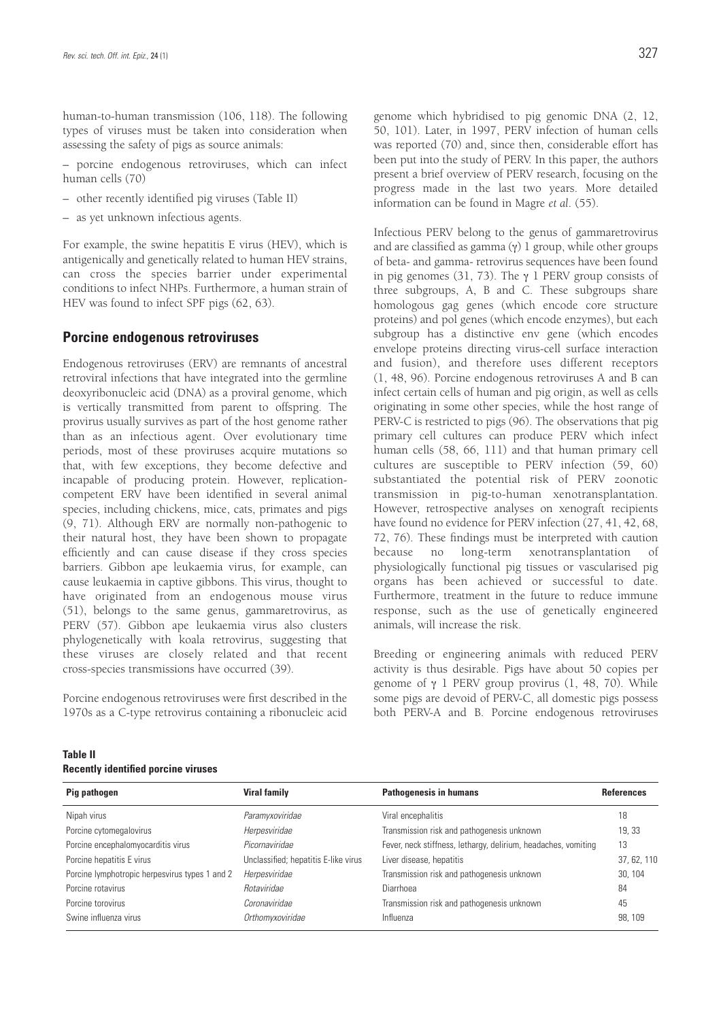human-to-human transmission (106, 118). The following types of viruses must be taken into consideration when assessing the safety of pigs as source animals:

– porcine endogenous retroviruses, which can infect human cells (70)

- other recently identified pig viruses (Table II)
- as yet unknown infectious agents.

For example, the swine hepatitis E virus (HEV), which is antigenically and genetically related to human HEV strains, can cross the species barrier under experimental conditions to infect NHPs. Furthermore, a human strain of HEV was found to infect SPF pigs (62, 63).

### **Porcine endogenous retroviruses**

Endogenous retroviruses (ERV) are remnants of ancestral retroviral infections that have integrated into the germline deoxyribonucleic acid (DNA) as a proviral genome, which is vertically transmitted from parent to offspring. The provirus usually survives as part of the host genome rather than as an infectious agent. Over evolutionary time periods, most of these proviruses acquire mutations so that, with few exceptions, they become defective and incapable of producing protein. However, replicationcompetent ERV have been identified in several animal species, including chickens, mice, cats, primates and pigs (9, 71). Although ERV are normally non-pathogenic to their natural host, they have been shown to propagate efficiently and can cause disease if they cross species barriers. Gibbon ape leukaemia virus, for example, can cause leukaemia in captive gibbons. This virus, thought to have originated from an endogenous mouse virus (51), belongs to the same genus, gammaretrovirus, as PERV (57). Gibbon ape leukaemia virus also clusters phylogenetically with koala retrovirus, suggesting that these viruses are closely related and that recent cross-species transmissions have occurred (39).

Porcine endogenous retroviruses were first described in the 1970s as a C-type retrovirus containing a ribonucleic acid genome which hybridised to pig genomic DNA (2, 12, 50, 101). Later, in 1997, PERV infection of human cells was reported (70) and, since then, considerable effort has been put into the study of PERV. In this paper, the authors present a brief overview of PERV research, focusing on the progress made in the last two years. More detailed information can be found in Magre *et al*. (55).

Infectious PERV belong to the genus of gammaretrovirus and are classified as gamma  $(y)$  1 group, while other groups of beta- and gamma- retrovirus sequences have been found in pig genomes (31, 73). The γ 1 PERV group consists of three subgroups, A, B and C. These subgroups share homologous gag genes (which encode core structure proteins) and pol genes (which encode enzymes), but each subgroup has a distinctive env gene (which encodes envelope proteins directing virus-cell surface interaction and fusion), and therefore uses different receptors (1, 48, 96). Porcine endogenous retroviruses A and B can infect certain cells of human and pig origin, as well as cells originating in some other species, while the host range of PERV-C is restricted to pigs (96). The observations that pig primary cell cultures can produce PERV which infect human cells (58, 66, 111) and that human primary cell cultures are susceptible to PERV infection (59, 60) substantiated the potential risk of PERV zoonotic transmission in pig-to-human xenotransplantation. However, retrospective analyses on xenograft recipients have found no evidence for PERV infection (27, 41, 42, 68, 72, 76). These findings must be interpreted with caution because no long-term xenotransplantation of physiologically functional pig tissues or vascularised pig organs has been achieved or successful to date. Furthermore, treatment in the future to reduce immune response, such as the use of genetically engineered animals, will increase the risk.

Breeding or engineering animals with reduced PERV activity is thus desirable. Pigs have about 50 copies per genome of  $γ$  1 PERV group provirus (1, 48, 70). While some pigs are devoid of PERV-C, all domestic pigs possess both PERV-A and B. Porcine endogenous retroviruses

| Pig pathogen                                   | <b>Viral family</b>                  | <b>Pathogenesis in humans</b>                                  | References  |
|------------------------------------------------|--------------------------------------|----------------------------------------------------------------|-------------|
| Nipah virus                                    | Paramyxoviridae                      | Viral encephalitis                                             | 18          |
| Porcine cytomegalovirus                        | Herpesviridae                        | Transmission risk and pathogenesis unknown                     | 19, 33      |
| Porcine encephalomyocarditis virus             | Picornaviridae                       | Fever, neck stiffness, lethargy, delirium, headaches, vomiting | 13          |
| Porcine hepatitis E virus                      | Unclassified; hepatitis E-like virus | Liver disease, hepatitis                                       | 37, 62, 110 |
| Porcine lymphotropic herpesvirus types 1 and 2 | Herpesviridae                        | Transmission risk and pathogenesis unknown                     | 30, 104     |
| Porcine rotavirus                              | Rotaviridae                          | Diarrhoea                                                      | 84          |
| Porcine torovirus                              | Coronaviridae                        | Transmission risk and pathogenesis unknown                     | 45          |
| Swine influenza virus                          | Orthomyxoviridae                     | Influenza                                                      | 98, 109     |

### **Table II**

### **Recently identified porcine viruses**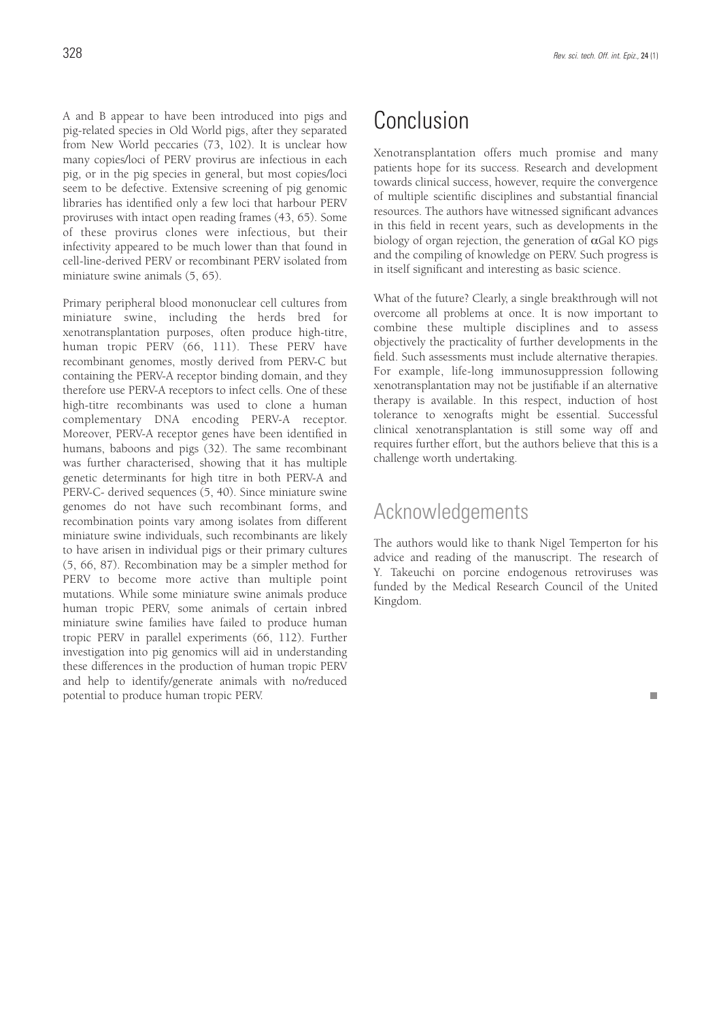A and B appear to have been introduced into pigs and pig-related species in Old World pigs, after they separated from New World peccaries (73, 102). It is unclear how many copies/loci of PERV provirus are infectious in each pig, or in the pig species in general, but most copies/loci seem to be defective. Extensive screening of pig genomic libraries has identified only a few loci that harbour PERV proviruses with intact open reading frames (43, 65). Some of these provirus clones were infectious, but their infectivity appeared to be much lower than that found in cell-line-derived PERV or recombinant PERV isolated from miniature swine animals (5, 65).

Primary peripheral blood mononuclear cell cultures from miniature swine, including the herds bred for xenotransplantation purposes, often produce high-titre, human tropic PERV (66, 111). These PERV have recombinant genomes, mostly derived from PERV-C but containing the PERV-A receptor binding domain, and they therefore use PERV-A receptors to infect cells. One of these high-titre recombinants was used to clone a human complementary DNA encoding PERV-A receptor. Moreover, PERV-A receptor genes have been identified in humans, baboons and pigs (32). The same recombinant was further characterised, showing that it has multiple genetic determinants for high titre in both PERV-A and PERV-C- derived sequences (5, 40). Since miniature swine genomes do not have such recombinant forms, and recombination points vary among isolates from different miniature swine individuals, such recombinants are likely to have arisen in individual pigs or their primary cultures (5, 66, 87). Recombination may be a simpler method for PERV to become more active than multiple point mutations. While some miniature swine animals produce human tropic PERV, some animals of certain inbred miniature swine families have failed to produce human tropic PERV in parallel experiments (66, 112). Further investigation into pig genomics will aid in understanding these differences in the production of human tropic PERV and help to identify/generate animals with no/reduced potential to produce human tropic PERV.

# Conclusion

Xenotransplantation offers much promise and many patients hope for its success. Research and development towards clinical success, however, require the convergence of multiple scientific disciplines and substantial financial resources. The authors have witnessed significant advances in this field in recent years, such as developments in the biology of organ rejection, the generation of  $\alpha$ Gal KO pigs and the compiling of knowledge on PERV. Such progress is in itself significant and interesting as basic science.

What of the future? Clearly, a single breakthrough will not overcome all problems at once. It is now important to combine these multiple disciplines and to assess objectively the practicality of further developments in the field. Such assessments must include alternative therapies. For example, life-long immunosuppression following xenotransplantation may not be justifiable if an alternative therapy is available. In this respect, induction of host tolerance to xenografts might be essential. Successful clinical xenotransplantation is still some way off and requires further effort, but the authors believe that this is a challenge worth undertaking.

### Acknowledgements

The authors would like to thank Nigel Temperton for his advice and reading of the manuscript. The research of Y. Takeuchi on porcine endogenous retroviruses was funded by the Medical Research Council of the United Kingdom.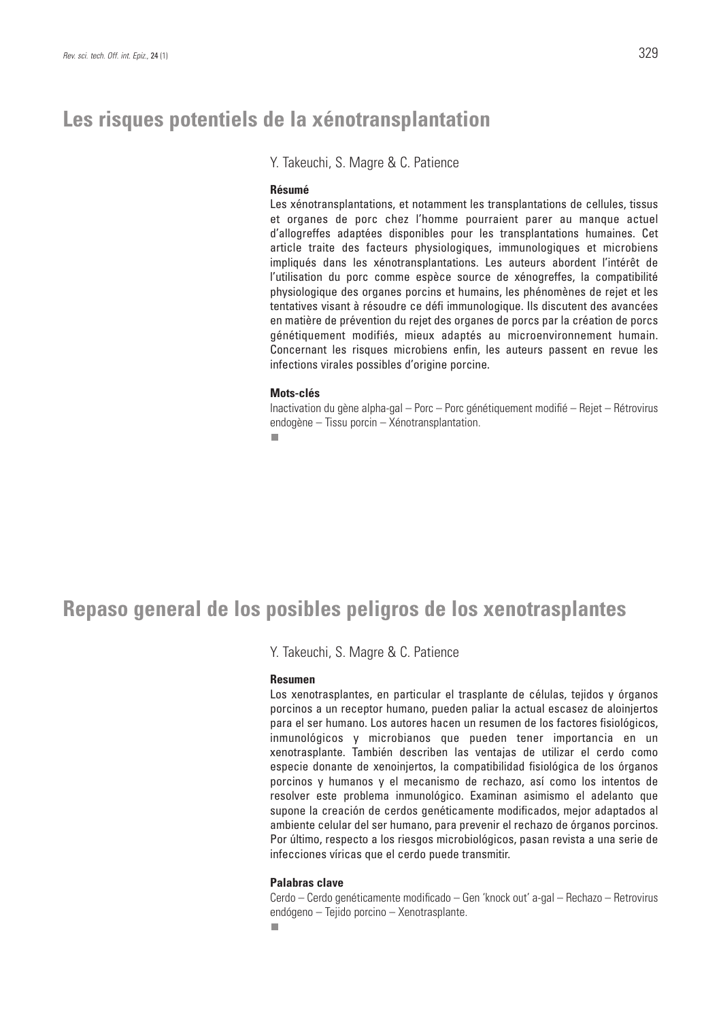## **Les risques potentiels de la xénotransplantation**

Y. Takeuchi, S. Magre & C. Patience

### **Résumé**

Les xénotransplantations, et notamment les transplantations de cellules, tissus et organes de porc chez l'homme pourraient parer au manque actuel d'allogreffes adaptées disponibles pour les transplantations humaines. Cet article traite des facteurs physiologiques, immunologiques et microbiens impliqués dans les xénotransplantations. Les auteurs abordent l'intérêt de l'utilisation du porc comme espèce source de xénogreffes, la compatibilité physiologique des organes porcins et humains, les phénomènes de rejet et les tentatives visant à résoudre ce défi immunologique. Ils discutent des avancées en matière de prévention du rejet des organes de porcs par la création de porcs génétiquement modifiés, mieux adaptés au microenvironnement humain. Concernant les risques microbiens enfin, les auteurs passent en revue les infections virales possibles d'origine porcine.

### **Mots-clés**

Inactivation du gène alpha-gal – Porc – Porc génétiquement modifié – Rejet – Rétrovirus endogène – Tissu porcin – Xénotransplantation.

п

## **Repaso general de los posibles peligros de los xenotrasplantes**

Y. Takeuchi, S. Magre & C. Patience

### **Resumen**

Los xenotrasplantes, en particular el trasplante de células, tejidos y órganos porcinos a un receptor humano, pueden paliar la actual escasez de aloinjertos para el ser humano. Los autores hacen un resumen de los factores fisiológicos, inmunológicos y microbianos que pueden tener importancia en un xenotrasplante. También describen las ventajas de utilizar el cerdo como especie donante de xenoinjertos, la compatibilidad fisiológica de los órganos porcinos y humanos y el mecanismo de rechazo, así como los intentos de resolver este problema inmunológico. Examinan asimismo el adelanto que supone la creación de cerdos genéticamente modificados, mejor adaptados al ambiente celular del ser humano, para prevenir el rechazo de órganos porcinos. Por último, respecto a los riesgos microbiológicos, pasan revista a una serie de infecciones víricas que el cerdo puede transmitir.

### **Palabras clave**

Cerdo – Cerdo genéticamente modificado – Gen 'knock out' a-gal – Rechazo – Retrovirus endógeno – Tejido porcino – Xenotrasplante.

п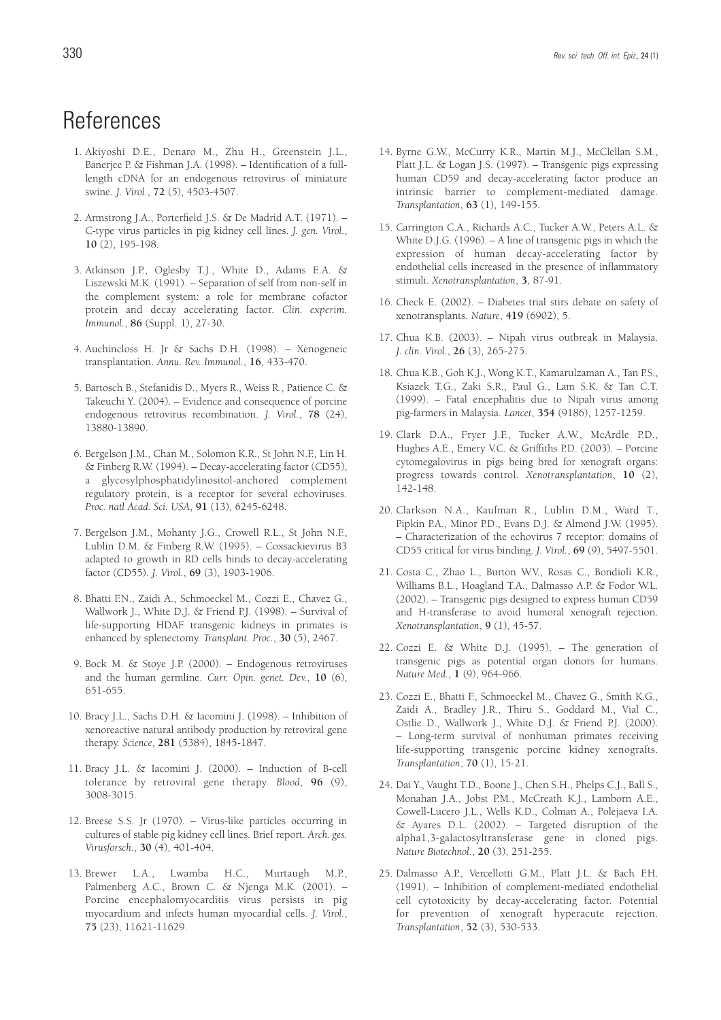# **References**

- 1. Akiyoshi D.E., Denaro M., Zhu H., Greenstein J.L., Banerjee P. & Fishman J.A. (1998). – Identification of a fulllength cDNA for an endogenous retrovirus of miniature swine. *J. Virol.*, **72** (5), 4503-4507.
- 2. Armstrong J.A., Porterfield J.S. & De Madrid A.T. (1971). C-type virus particles in pig kidney cell lines. *J. gen. Virol.*, **10** (2), 195-198.
- 3. Atkinson J.P., Oglesby T.J., White D., Adams E.A. & Liszewski M.K. (1991). – Separation of self from non-self in the complement system: a role for membrane cofactor protein and decay accelerating factor. *Clin. experim. Immunol.*, **86** (Suppl. 1), 27-30.
- 4. Auchincloss H. Jr & Sachs D.H. (1998). Xenogeneic transplantation. *Annu. Rev. Immunol.*, **16**, 433-470.
- 5. Bartosch B., Stefanidis D., Myers R., Weiss R., Patience C. & Takeuchi Y. (2004). – Evidence and consequence of porcine endogenous retrovirus recombination. *J. Virol.*, **78** (24), 13880-13890.
- 6. Bergelson J.M., Chan M., Solomon K.R., St John N.F., Lin H. & Finberg R.W. (1994). – Decay-accelerating factor (CD55), a glycosylphosphatidylinositol-anchored complement regulatory protein, is a receptor for several echoviruses. *Proc. natl Acad. Sci. USA*, **91** (13), 6245-6248.
- 7. Bergelson J.M., Mohanty J.G., Crowell R.L., St John N.F., Lublin D.M. & Finberg R.W. (1995). – Coxsackievirus B3 adapted to growth in RD cells binds to decay-accelerating factor (CD55). *J. Virol.*, **69** (3), 1903-1906.
- 8. Bhatti F.N., Zaidi A., Schmoeckel M., Cozzi E., Chavez G., Wallwork J., White D.J. & Friend P.J. (1998). – Survival of life-supporting HDAF transgenic kidneys in primates is enhanced by splenectomy. *Transplant. Proc.*, **30** (5), 2467.
- 9. Bock M. & Stoye J.P. (2000). Endogenous retroviruses and the human germline. *Curr. Opin. genet. Dev.*, **10** (6), 651-655.
- 10. Bracy J.L., Sachs D.H. & Iacomini J. (1998). Inhibition of xenoreactive natural antibody production by retroviral gene therapy. *Science*, **281** (5384), 1845-1847.
- 11. Bracy J.L. & Iacomini J. (2000). Induction of B-cell tolerance by retroviral gene therapy. *Blood*, **96** (9), 3008-3015.
- 12. Breese S.S. Jr (1970). Virus-like particles occurring in cultures of stable pig kidney cell lines. Brief report. *Arch. ges. Virusforsch.*, **30** (4), 401-404.
- 13. Brewer L.A., Lwamba H.C., Murtaugh M.P., Palmenberg A.C., Brown C. & Njenga M.K. (2001). – Porcine encephalomyocarditis virus persists in pig myocardium and infects human myocardial cells. *J. Virol.*, **75** (23), 11621-11629.
- 14. Byrne G.W., McCurry K.R., Martin M.J., McClellan S.M., Platt J.L. & Logan J.S. (1997). – Transgenic pigs expressing human CD59 and decay-accelerating factor produce an intrinsic barrier to complement-mediated damage. *Transplantation*, **63** (1), 149-155.
- 15. Carrington C.A., Richards A.C., Tucker A.W., Peters A.L. & White D.J.G. (1996). – A line of transgenic pigs in which the expression of human decay-accelerating factor by endothelial cells increased in the presence of inflammatory stimuli. *Xenotransplantation*, **3**, 87-91.
- 16. Check E. (2002). Diabetes trial stirs debate on safety of xenotransplants. *Nature*, **419** (6902), 5.
- 17. Chua K.B. (2003). Nipah virus outbreak in Malaysia. *J. clin. Virol.*, **26** (3), 265-275.
- 18. Chua K.B., Goh K.J., Wong K.T., Kamarulzaman A., Tan P.S., Ksiazek T.G., Zaki S.R., Paul G., Lam S.K. & Tan C.T. (1999). – Fatal encephalitis due to Nipah virus among pig-farmers in Malaysia. *Lancet*, **354** (9186), 1257-1259.
- 19. Clark D.A., Fryer J.F., Tucker A.W., McArdle P.D., Hughes A.E., Emery V.C. & Griffiths P.D. (2003). – Porcine cytomegalovirus in pigs being bred for xenograft organs: progress towards control. *Xenotransplantation*, **10** (2), 142-148.
- 20. Clarkson N.A., Kaufman R., Lublin D.M., Ward T., Pipkin P.A., Minor P.D., Evans D.J. & Almond J.W. (1995). – Characterization of the echovirus 7 receptor: domains of CD55 critical for virus binding. *J. Virol.*, **69** (9), 5497-5501.
- 21. Costa C., Zhao L., Burton W.V., Rosas C., Bondioli K.R., Williams B.L., Hoagland T.A., Dalmasso A.P. & Fodor W.L. (2002). – Transgenic pigs designed to express human CD59 and H-transferase to avoid humoral xenograft rejection. *Xenotransplantation*, **9** (1), 45-57.
- 22. Cozzi E. & White D.J. (1995). The generation of transgenic pigs as potential organ donors for humans. *Nature Med.*, **1** (9), 964-966.
- 23. Cozzi E., Bhatti F., Schmoeckel M., Chavez G., Smith K.G., Zaidi A., Bradley J.R., Thiru S., Goddard M., Vial C., Ostlie D., Wallwork J., White D.J. & Friend P.J. (2000). – Long-term survival of nonhuman primates receiving life-supporting transgenic porcine kidney xenografts. *Transplantation*, **70** (1), 15-21.
- 24. Dai Y., Vaught T.D., Boone J., Chen S.H., Phelps C.J., Ball S., Monahan J.A., Jobst P.M., McCreath K.J., Lamborn A.E., Cowell-Lucero J.L., Wells K.D., Colman A., Polejaeva I.A. & Ayares D.L. (2002). – Targeted disruption of the alpha1,3-galactosyltransferase gene in cloned pigs. *Nature Biotechnol.*, **20** (3), 251-255.
- 25. Dalmasso A.P., Vercellotti G.M., Platt J.L. & Bach F.H. (1991). – Inhibition of complement-mediated endothelial cell cytotoxicity by decay-accelerating factor. Potential for prevention of xenograft hyperacute rejection. *Transplantation*, **52** (3), 530-533.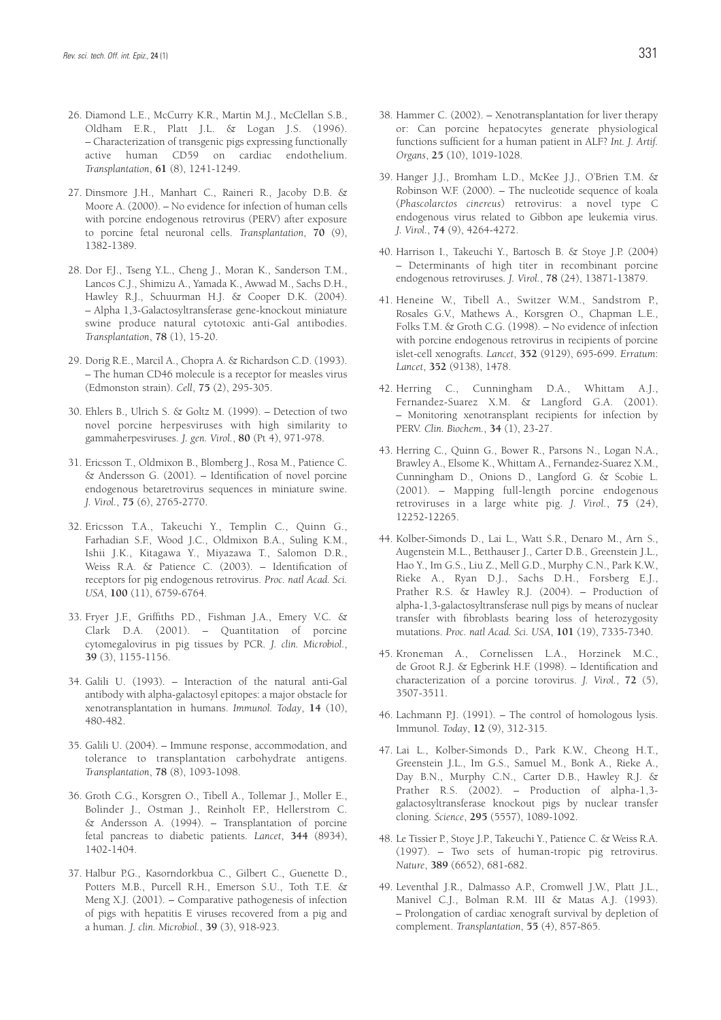- 26. Diamond L.E., McCurry K.R., Martin M.J., McClellan S.B., Oldham E.R., Platt J.L. & Logan J.S. (1996). – Characterization of transgenic pigs expressing functionally active human CD59 on cardiac endothelium. *Transplantation*, **61** (8), 1241-1249.
- 27. Dinsmore J.H., Manhart C., Raineri R., Jacoby D.B. & Moore A. (2000). – No evidence for infection of human cells with porcine endogenous retrovirus (PERV) after exposure to porcine fetal neuronal cells. *Transplantation*, **70** (9), 1382-1389.
- 28. Dor F.J., Tseng Y.L., Cheng J., Moran K., Sanderson T.M., Lancos C.J., Shimizu A., Yamada K., Awwad M., Sachs D.H., Hawley R.J., Schuurman H.J. & Cooper D.K. (2004). – Alpha 1,3-Galactosyltransferase gene-knockout miniature swine produce natural cytotoxic anti-Gal antibodies. *Transplantation*, **78** (1), 15-20.
- 29. Dorig R.E., Marcil A., Chopra A. & Richardson C.D. (1993). – The human CD46 molecule is a receptor for measles virus (Edmonston strain). *Cell*, **75** (2), 295-305.
- 30. Ehlers B., Ulrich S. & Goltz M. (1999). Detection of two novel porcine herpesviruses with high similarity to gammaherpesviruses. *J. gen. Virol.*, **80** (Pt 4), 971-978.
- 31. Ericsson T., Oldmixon B., Blomberg J., Rosa M., Patience C. & Andersson G. (2001). – Identification of novel porcine endogenous betaretrovirus sequences in miniature swine. *J. Virol.*, **75** (6), 2765-2770.
- 32. Ericsson T.A., Takeuchi Y., Templin C., Quinn G., Farhadian S.F., Wood J.C., Oldmixon B.A., Suling K.M., Ishii J.K., Kitagawa Y., Miyazawa T., Salomon D.R., Weiss R.A. & Patience C. (2003). – Identification of receptors for pig endogenous retrovirus. *Proc. natl Acad. Sci. USA*, **100** (11), 6759-6764.
- 33. Fryer J.F., Griffiths P.D., Fishman J.A., Emery V.C. & Clark D.A. (2001). – Quantitation of porcine cytomegalovirus in pig tissues by PCR. *J. clin. Microbiol.*, **39** (3), 1155-1156.
- 34. Galili U. (1993). Interaction of the natural anti-Gal antibody with alpha-galactosyl epitopes: a major obstacle for xenotransplantation in humans. *Immunol. Today*, **14** (10), 480-482.
- 35. Galili U. (2004). Immune response, accommodation, and tolerance to transplantation carbohydrate antigens. *Transplantation*, **78** (8), 1093-1098.
- 36. Groth C.G., Korsgren O., Tibell A., Tollemar J., Moller E., Bolinder J., Ostman J., Reinholt F.P., Hellerstrom C. & Andersson A. (1994). – Transplantation of porcine fetal pancreas to diabetic patients. *Lancet*, **344** (8934), 1402-1404.
- 37. Halbur P.G., Kasorndorkbua C., Gilbert C., Guenette D., Potters M.B., Purcell R.H., Emerson S.U., Toth T.E. & Meng X.J. (2001). – Comparative pathogenesis of infection of pigs with hepatitis E viruses recovered from a pig and a human. *J. clin. Microbiol.*, **39** (3), 918-923.
- 38. Hammer C. (2002). Xenotransplantation for liver therapy or: Can porcine hepatocytes generate physiological functions sufficient for a human patient in ALF? *Int. J. Artif. Organs*, **25** (10), 1019-1028.
- 39. Hanger J.J., Bromham L.D., McKee J.J., O'Brien T.M. & Robinson W.F. (2000). – The nucleotide sequence of koala (*Phascolarctos cinereus*) retrovirus: a novel type C endogenous virus related to Gibbon ape leukemia virus. *J. Virol.*, **74** (9), 4264-4272.
- 40. Harrison I., Takeuchi Y., Bartosch B. & Stoye J.P. (2004) – Determinants of high titer in recombinant porcine endogenous retroviruses. *J. Virol.*, **78** (24), 13871-13879.
- 41. Heneine W., Tibell A., Switzer W.M., Sandstrom P., Rosales G.V., Mathews A., Korsgren O., Chapman L.E., Folks T.M. & Groth C.G. (1998). – No evidence of infection with porcine endogenous retrovirus in recipients of porcine islet-cell xenografts. *Lancet*, **352** (9129), 695-699. *Erratum*: *Lancet*, **352** (9138), 1478.
- 42. Herring C., Cunningham D.A., Whittam A.J., Fernandez-Suarez X.M. & Langford G.A. (2001). – Monitoring xenotransplant recipients for infection by PERV. *Clin. Biochem.*, **34** (1), 23-27.
- 43. Herring C., Quinn G., Bower R., Parsons N., Logan N.A., Brawley A., Elsome K., Whittam A., Fernandez-Suarez X.M., Cunningham D., Onions D., Langford G. & Scobie L. (2001). – Mapping full-length porcine endogenous retroviruses in a large white pig. *J. Virol.*, **75** (24), 12252-12265.
- 44. Kolber-Simonds D., Lai L., Watt S.R., Denaro M., Arn S., Augenstein M.L., Betthauser J., Carter D.B., Greenstein J.L., Hao Y., Im G.S., Liu Z., Mell G.D., Murphy C.N., Park K.W., Rieke A., Ryan D.J., Sachs D.H., Forsberg E.J., Prather R.S. & Hawley R.J. (2004). – Production of alpha-1,3-galactosyltransferase null pigs by means of nuclear transfer with fibroblasts bearing loss of heterozygosity mutations. *Proc. natl Acad. Sci. USA*, **101** (19), 7335-7340.
- 45. Kroneman A., Cornelissen L.A., Horzinek M.C., de Groot R.J. & Egberink H.F. (1998). – Identification and characterization of a porcine torovirus. *J. Virol.*, **72** (5), 3507-3511.
- 46. Lachmann P.J. (1991). The control of homologous lysis. Immunol. *Today*, **12** (9), 312-315.
- 47. Lai L., Kolber-Simonds D., Park K.W., Cheong H.T., Greenstein J.L., Im G.S., Samuel M., Bonk A., Rieke A., Day B.N., Murphy C.N., Carter D.B., Hawley R.J. & Prather R.S. (2002). – Production of alpha-1,3 galactosyltransferase knockout pigs by nuclear transfer cloning. *Science*, **295** (5557), 1089-1092.
- 48. Le Tissier P., Stoye J.P., Takeuchi Y., Patience C. & Weiss R.A. (1997). – Two sets of human-tropic pig retrovirus. *Nature*, **389** (6652), 681-682.
- 49. Leventhal J.R., Dalmasso A.P., Cromwell J.W., Platt J.L., Manivel C.J., Bolman R.M. III & Matas A.J. (1993). – Prolongation of cardiac xenograft survival by depletion of complement. *Transplantation*, **55** (4), 857-865.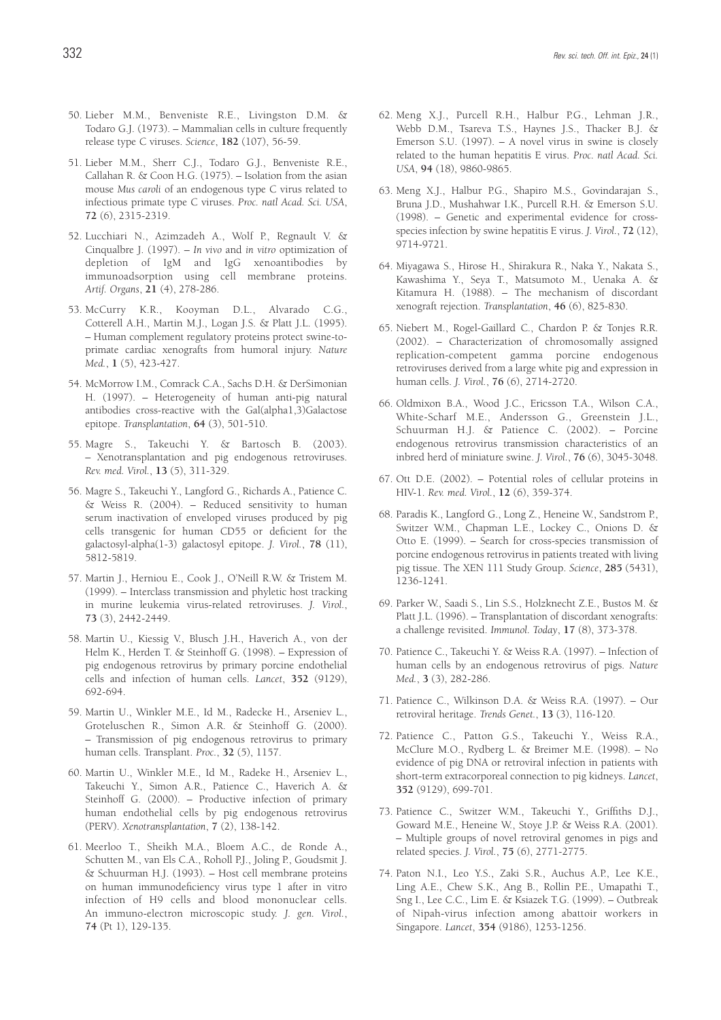- 50. Lieber M.M., Benveniste R.E., Livingston D.M. & Todaro G.J. (1973). – Mammalian cells in culture frequently release type C viruses. *Science*, **182** (107), 56-59.
- 51. Lieber M.M., Sherr C.J., Todaro G.J., Benveniste R.E., Callahan R. & Coon H.G. (1975). – Isolation from the asian mouse *Mus caroli* of an endogenous type C virus related to infectious primate type C viruses. *Proc. natl Acad. Sci. USA*, **72** (6), 2315-2319.
- 52. Lucchiari N., Azimzadeh A., Wolf P., Regnault V. & Cinqualbre J. (1997). – *In vivo* and *in vitro* optimization of depletion of IgM and IgG xenoantibodies by immunoadsorption using cell membrane proteins. *Artif. Organs*, **21** (4), 278-286.
- 53. McCurry K.R., Kooyman D.L., Alvarado C.G., Cotterell A.H., Martin M.J., Logan J.S. & Platt J.L. (1995). – Human complement regulatory proteins protect swine-toprimate cardiac xenografts from humoral injury. *Nature Med.*, **1** (5), 423-427.
- 54. McMorrow I.M., Comrack C.A., Sachs D.H. & DerSimonian H. (1997). – Heterogeneity of human anti-pig natural antibodies cross-reactive with the Gal(alpha1,3)Galactose epitope. *Transplantation*, **64** (3), 501-510.
- 55. Magre S., Takeuchi Y. & Bartosch B. (2003). – Xenotransplantation and pig endogenous retroviruses. *Rev. med. Virol.*, **13** (5), 311-329.
- 56. Magre S., Takeuchi Y., Langford G., Richards A., Patience C. & Weiss R. (2004). – Reduced sensitivity to human serum inactivation of enveloped viruses produced by pig cells transgenic for human CD55 or deficient for the galactosyl-alpha(1-3) galactosyl epitope. *J. Virol.*, **78** (11), 5812-5819.
- 57. Martin J., Herniou E., Cook J., O'Neill R.W. & Tristem M. (1999). – Interclass transmission and phyletic host tracking in murine leukemia virus-related retroviruses. *J. Virol.*, **73** (3), 2442-2449.
- 58. Martin U., Kiessig V., Blusch J.H., Haverich A., von der Helm K., Herden T. & Steinhoff G. (1998). – Expression of pig endogenous retrovirus by primary porcine endothelial cells and infection of human cells. *Lancet*, **352** (9129), 692-694.
- 59. Martin U., Winkler M.E., Id M., Radecke H., Arseniev L., Groteluschen R., Simon A.R. & Steinhoff G. (2000). – Transmission of pig endogenous retrovirus to primary human cells. Transplant. *Proc.*, **32** (5), 1157.
- 60. Martin U., Winkler M.E., Id M., Radeke H., Arseniev L., Takeuchi Y., Simon A.R., Patience C., Haverich A. & Steinhoff G. (2000). – Productive infection of primary human endothelial cells by pig endogenous retrovirus (PERV). *Xenotransplantation*, **7** (2), 138-142.
- 61. Meerloo T., Sheikh M.A., Bloem A.C., de Ronde A., Schutten M., van Els C.A., Roholl P.J., Joling P., Goudsmit J. & Schuurman H.J. (1993). – Host cell membrane proteins on human immunodeficiency virus type 1 after in vitro infection of H9 cells and blood mononuclear cells. An immuno-electron microscopic study. *J. gen. Virol.*, **74** (Pt 1), 129-135.
- 62. Meng X.J., Purcell R.H., Halbur P.G., Lehman J.R., Webb D.M., Tsareva T.S., Haynes J.S., Thacker B.J. & Emerson S.U. (1997). – A novel virus in swine is closely related to the human hepatitis E virus. *Proc. natl Acad. Sci. USA*, **94** (18), 9860-9865.
- 63. Meng X.J., Halbur P.G., Shapiro M.S., Govindarajan S., Bruna J.D., Mushahwar I.K., Purcell R.H. & Emerson S.U. (1998). – Genetic and experimental evidence for crossspecies infection by swine hepatitis E virus. *J. Virol.*, **72** (12), 9714-9721.
- 64. Miyagawa S., Hirose H., Shirakura R., Naka Y., Nakata S., Kawashima Y., Seya T., Matsumoto M., Uenaka A. & Kitamura H. (1988). – The mechanism of discordant xenograft rejection. *Transplantation*, **46** (6), 825-830.
- 65. Niebert M., Rogel-Gaillard C., Chardon P. & Tonjes R.R. (2002). – Characterization of chromosomally assigned replication-competent gamma porcine endogenous retroviruses derived from a large white pig and expression in human cells. *J. Virol.*, **76** (6), 2714-2720.
- 66. Oldmixon B.A., Wood J.C., Ericsson T.A., Wilson C.A., White-Scharf M.E., Andersson G., Greenstein J.L., Schuurman H.J. & Patience C. (2002). – Porcine endogenous retrovirus transmission characteristics of an inbred herd of miniature swine. *J. Virol.*, **76** (6), 3045-3048.
- 67. Ott D.E. (2002). Potential roles of cellular proteins in HIV-1. *Rev. med. Virol.*, **12** (6), 359-374.
- 68. Paradis K., Langford G., Long Z., Heneine W., Sandstrom P., Switzer W.M., Chapman L.E., Lockey C., Onions D. & Otto E. (1999). – Search for cross-species transmission of porcine endogenous retrovirus in patients treated with living pig tissue. The XEN 111 Study Group. *Science*, **285** (5431), 1236-1241.
- 69. Parker W., Saadi S., Lin S.S., Holzknecht Z.E., Bustos M. & Platt J.L. (1996). – Transplantation of discordant xenografts: a challenge revisited. *Immunol. Today*, **17** (8), 373-378.
- 70. Patience C., Takeuchi Y. & Weiss R.A. (1997). Infection of human cells by an endogenous retrovirus of pigs. *Nature Med.*, **3** (3), 282-286.
- 71. Patience C., Wilkinson D.A. & Weiss R.A. (1997). Our retroviral heritage. *Trends Genet.*, **13** (3), 116-120.
- 72. Patience C., Patton G.S., Takeuchi Y., Weiss R.A., McClure M.O., Rydberg L. & Breimer M.E. (1998). – No evidence of pig DNA or retroviral infection in patients with short-term extracorporeal connection to pig kidneys. *Lancet*, **352** (9129), 699-701.
- 73. Patience C., Switzer W.M., Takeuchi Y., Griffiths D.J., Goward M.E., Heneine W., Stoye J.P. & Weiss R.A. (2001). – Multiple groups of novel retroviral genomes in pigs and related species. *J. Virol.*, **75** (6), 2771-2775.
- 74. Paton N.I., Leo Y.S., Zaki S.R., Auchus A.P., Lee K.E., Ling A.E., Chew S.K., Ang B., Rollin P.E., Umapathi T., Sng I., Lee C.C., Lim E. & Ksiazek T.G. (1999). – Outbreak of Nipah-virus infection among abattoir workers in Singapore. *Lancet*, **354** (9186), 1253-1256.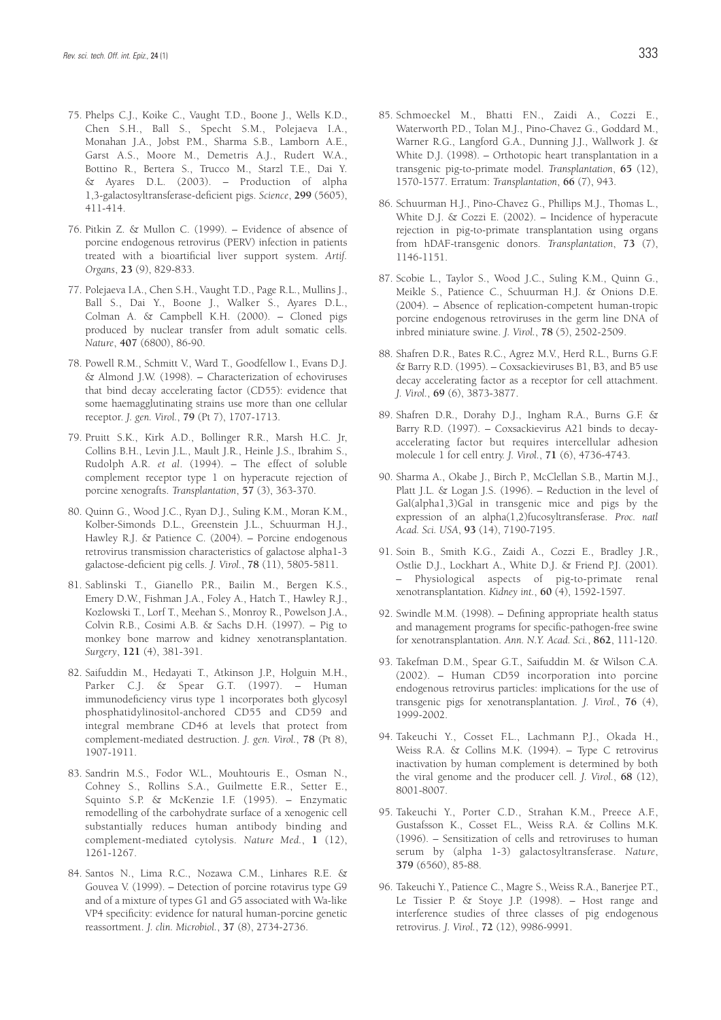- 75. Phelps C.J., Koike C., Vaught T.D., Boone J., Wells K.D., Chen S.H., Ball S., Specht S.M., Polejaeva I.A., Monahan J.A., Jobst P.M., Sharma S.B., Lamborn A.E., Garst A.S., Moore M., Demetris A.J., Rudert W.A., Bottino R., Bertera S., Trucco M., Starzl T.E., Dai Y. & Ayares D.L. (2003). – Production of alpha 1,3-galactosyltransferase-deficient pigs. *Science*, **299** (5605), 411-414.
- 76. Pitkin Z. & Mullon C. (1999). Evidence of absence of porcine endogenous retrovirus (PERV) infection in patients treated with a bioartificial liver support system. *Artif. Organs*, **23** (9), 829-833.
- 77. Polejaeva I.A., Chen S.H., Vaught T.D., Page R.L., Mullins J., Ball S., Dai Y., Boone J., Walker S., Ayares D.L., Colman A. & Campbell K.H. (2000). – Cloned pigs produced by nuclear transfer from adult somatic cells. *Nature*, **407** (6800), 86-90.
- 78. Powell R.M., Schmitt V., Ward T., Goodfellow I., Evans D.J. & Almond J.W. (1998). – Characterization of echoviruses that bind decay accelerating factor (CD55): evidence that some haemagglutinating strains use more than one cellular receptor. *J. gen. Virol.*, **79** (Pt 7), 1707-1713.
- 79. Pruitt S.K., Kirk A.D., Bollinger R.R., Marsh H.C. Jr, Collins B.H., Levin J.L., Mault J.R., Heinle J.S., Ibrahim S., Rudolph A.R. *et al*. (1994). – The effect of soluble complement receptor type 1 on hyperacute rejection of porcine xenografts. *Transplantation*, **57** (3), 363-370.
- 80. Quinn G., Wood J.C., Ryan D.J., Suling K.M., Moran K.M., Kolber-Simonds D.L., Greenstein J.L., Schuurman H.J., Hawley R.J. & Patience C. (2004). – Porcine endogenous retrovirus transmission characteristics of galactose alpha1-3 galactose-deficient pig cells. *J. Virol.*, **78** (11), 5805-5811.
- 81. Sablinski T., Gianello P.R., Bailin M., Bergen K.S., Emery D.W., Fishman J.A., Foley A., Hatch T., Hawley R.J., Kozlowski T., Lorf T., Meehan S., Monroy R., Powelson J.A., Colvin R.B., Cosimi A.B. & Sachs D.H. (1997). – Pig to monkey bone marrow and kidney xenotransplantation. *Surgery*, **121** (4), 381-391.
- 82. Saifuddin M., Hedayati T., Atkinson J.P., Holguin M.H., Parker C.J. & Spear G.T. (1997). – Human immunodeficiency virus type 1 incorporates both glycosyl phosphatidylinositol-anchored CD55 and CD59 and integral membrane CD46 at levels that protect from complement-mediated destruction. *J. gen. Virol.*, **78** (Pt 8), 1907-1911.
- 83. Sandrin M.S., Fodor W.L., Mouhtouris E., Osman N., Cohney S., Rollins S.A., Guilmette E.R., Setter E., Squinto S.P. & McKenzie I.F. (1995). – Enzymatic remodelling of the carbohydrate surface of a xenogenic cell substantially reduces human antibody binding and complement-mediated cytolysis. *Nature Med.*, **1** (12), 1261-1267.
- 84. Santos N., Lima R.C., Nozawa C.M., Linhares R.E. & Gouvea V. (1999). – Detection of porcine rotavirus type G9 and of a mixture of types G1 and G5 associated with Wa-like VP4 specificity: evidence for natural human-porcine genetic reassortment. *J. clin. Microbiol.*, **37** (8), 2734-2736.
- 85. Schmoeckel M., Bhatti F.N., Zaidi A., Cozzi E., Waterworth P.D., Tolan M.J., Pino-Chavez G., Goddard M., Warner R.G., Langford G.A., Dunning J.J., Wallwork J. & White D.J. (1998). – Orthotopic heart transplantation in a transgenic pig-to-primate model. *Transplantation*, **65** (12), 1570-1577. Erratum: *Transplantation*, **66** (7), 943.
- 86. Schuurman H.J., Pino-Chavez G., Phillips M.J., Thomas L., White D.J. & Cozzi E. (2002). – Incidence of hyperacute rejection in pig-to-primate transplantation using organs from hDAF-transgenic donors. *Transplantation*, **73** (7), 1146-1151.
- 87. Scobie L., Taylor S., Wood J.C., Suling K.M., Quinn G., Meikle S., Patience C., Schuurman H.J. & Onions D.E. (2004). – Absence of replication-competent human-tropic porcine endogenous retroviruses in the germ line DNA of inbred miniature swine. *J. Virol.*, **78** (5), 2502-2509.
- 88. Shafren D.R., Bates R.C., Agrez M.V., Herd R.L., Burns G.F. & Barry R.D. (1995). – Coxsackieviruses B1, B3, and B5 use decay accelerating factor as a receptor for cell attachment. *J. Virol.*, **69** (6), 3873-3877.
- 89. Shafren D.R., Dorahy D.J., Ingham R.A., Burns G.F. & Barry R.D. (1997). – Coxsackievirus A21 binds to decayaccelerating factor but requires intercellular adhesion molecule 1 for cell entry. *J. Virol.*, **71** (6), 4736-4743.
- 90. Sharma A., Okabe J., Birch P., McClellan S.B., Martin M.J., Platt J.L. & Logan J.S. (1996). – Reduction in the level of Gal(alpha1,3)Gal in transgenic mice and pigs by the expression of an alpha(1,2)fucosyltransferase. *Proc. natl Acad. Sci. USA*, **93** (14), 7190-7195.
- 91. Soin B., Smith K.G., Zaidi A., Cozzi E., Bradley J.R., Ostlie D.J., Lockhart A., White D.J. & Friend P.J. (2001). – Physiological aspects of pig-to-primate renal xenotransplantation. *Kidney int.*, **60** (4), 1592-1597.
- 92. Swindle M.M. (1998). Defining appropriate health status and management programs for specific-pathogen-free swine for xenotransplantation. *Ann. N.Y. Acad. Sci.*, **862**, 111-120.
- 93. Takefman D.M., Spear G.T., Saifuddin M. & Wilson C.A. (2002). – Human CD59 incorporation into porcine endogenous retrovirus particles: implications for the use of transgenic pigs for xenotransplantation. *J. Virol.*, **76** (4), 1999-2002.
- 94. Takeuchi Y., Cosset F.L., Lachmann P.J., Okada H., Weiss R.A. & Collins M.K. (1994). – Type C retrovirus inactivation by human complement is determined by both the viral genome and the producer cell. *J. Virol.*, **68** (12), 8001-8007.
- 95. Takeuchi Y., Porter C.D., Strahan K.M., Preece A.F., Gustafsson K., Cosset F.L., Weiss R.A. & Collins M.K. (1996). – Sensitization of cells and retroviruses to human serum by (alpha 1-3) galactosyltransferase. *Nature*, **379** (6560), 85-88.
- 96. Takeuchi Y., Patience C., Magre S., Weiss R.A., Banerjee P.T., Le Tissier P. & Stoye J.P. (1998). – Host range and interference studies of three classes of pig endogenous retrovirus. *J. Virol.*, **72** (12), 9986-9991.